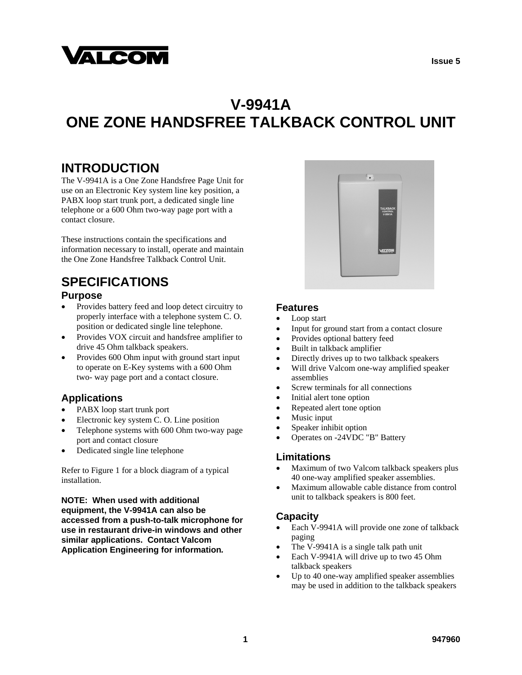

# **V-9941A ONE ZONE HANDSFREE TALKBACK CONTROL UNIT**

## **INTRODUCTION**

The V-9941A is a One Zone Handsfree Page Unit for use on an Electronic Key system line key position, a PABX loop start trunk port, a dedicated single line telephone or a 600 Ohm two-way page port with a contact closure.

These instructions contain the specifications and information necessary to install, operate and maintain the One Zone Handsfree Talkback Control Unit.

# **SPECIFICATIONS**

#### **Purpose**

- Provides battery feed and loop detect circuitry to properly interface with a telephone system C. O. position or dedicated single line telephone.
- Provides VOX circuit and handsfree amplifier to drive 45 Ohm talkback speakers.
- Provides 600 Ohm input with ground start input to operate on E-Key systems with a 600 Ohm two- way page port and a contact closure.

#### **Applications**

- PABX loop start trunk port
- Electronic key system C. O. Line position
- Telephone systems with 600 Ohm two-way page port and contact closure
- Dedicated single line telephone

Refer to Figure 1 for a block diagram of a typical installation.

**NOTE: When used with additional equipment, the V-9941A can also be accessed from a push-to-talk microphone for use in restaurant drive-in windows and other similar applications. Contact Valcom Application Engineering for information***.*



#### **Features**

- Loop start
- Input for ground start from a contact closure
- Provides optional battery feed
- Built in talkback amplifier
- Directly drives up to two talkback speakers
- Will drive Valcom one-way amplified speaker assemblies
- Screw terminals for all connections
- Initial alert tone option
- Repeated alert tone option
- Music input
- Speaker inhibit option
- Operates on -24VDC "B" Battery

#### **Limitations**

- Maximum of two Valcom talkback speakers plus 40 one-way amplified speaker assemblies.
- Maximum allowable cable distance from control unit to talkback speakers is 800 feet.

#### **Capacity**

- Each V-9941A will provide one zone of talkback paging
- The V-9941A is a single talk path unit
- Each V-9941A will drive up to two 45 Ohm talkback speakers
- Up to 40 one-way amplified speaker assemblies may be used in addition to the talkback speakers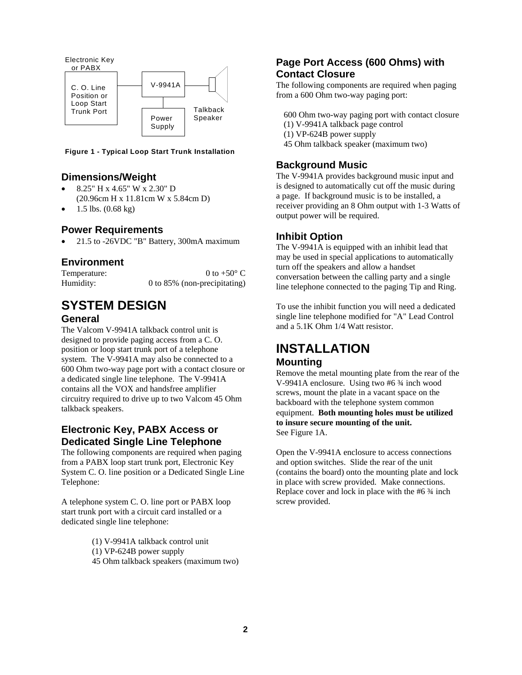

**Figure 1 - Typical Loop Start Trunk Installation**

#### **Dimensions/Weight**

- 8.25" H x 4.65" W x 2.30" D (20.96cm H x 11.81cm W x 5.84cm D)
- 1.5 lbs. (0.68 kg)

#### **Power Requirements**

21.5 to -26VDC "B" Battery, 300mA maximum

#### **Environment**

| Temperature: | 0 to +50 $\degree$ C         |
|--------------|------------------------------|
| Humidity:    | 0 to 85% (non-precipitating) |

#### **SYSTEM DESIGN General**

The Valcom V-9941A talkback control unit is designed to provide paging access from a C. O. position or loop start trunk port of a telephone system. The V-9941A may also be connected to a 600 Ohm two-way page port with a contact closure or a dedicated single line telephone. The V-9941A contains all the VOX and handsfree amplifier circuitry required to drive up to two Valcom 45 Ohm talkback speakers.

#### **Electronic Key, PABX Access or Dedicated Single Line Telephone**

The following components are required when paging from a PABX loop start trunk port, Electronic Key System C. O. line position or a Dedicated Single Line Telephone:

A telephone system C. O. line port or PABX loop start trunk port with a circuit card installed or a dedicated single line telephone:

- (1) V-9941A talkback control unit
- (1) VP-624B power supply
- 45 Ohm talkback speakers (maximum two)

#### **Page Port Access (600 Ohms) with Contact Closure**

The following components are required when paging from a 600 Ohm two-way paging port:

- 600 Ohm two-way paging port with contact closure
- (1) V-9941A talkback page control
- (1) VP-624B power supply
- 45 Ohm talkback speaker (maximum two)

#### **Background Music**

The V-9941A provides background music input and is designed to automatically cut off the music during a page. If background music is to be installed, a receiver providing an 8 Ohm output with 1-3 Watts of output power will be required.

#### **Inhibit Option**

The V-9941A is equipped with an inhibit lead that may be used in special applications to automatically turn off the speakers and allow a handset conversation between the calling party and a single line telephone connected to the paging Tip and Ring.

To use the inhibit function you will need a dedicated single line telephone modified for "A" Lead Control and a 5.1K Ohm 1/4 Watt resistor.

#### **INSTALLATION Mounting**

Remove the metal mounting plate from the rear of the V-9941A enclosure. Using two #6 ¾ inch wood screws, mount the plate in a vacant space on the backboard with the telephone system common equipment. **Both mounting holes must be utilized to insure secure mounting of the unit.** See Figure 1A.

Open the V-9941A enclosure to access connections and option switches. Slide the rear of the unit (contains the board) onto the mounting plate and lock in place with screw provided. Make connections. Replace cover and lock in place with the #6 ¾ inch screw provided.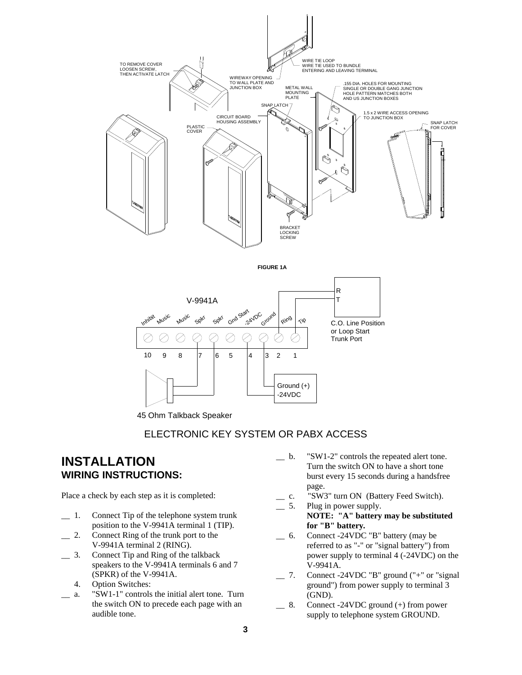





45 Ohm Talkback Speaker

#### ELECTRONIC KEY SYSTEM OR PABX ACCESS

### **INSTALLATION WIRING INSTRUCTIONS:**

Place a check by each step as it is completed:

- \_\_ 1. Connect Tip of the telephone system trunk position to the V-9941A terminal 1 (TIP).
- \_\_ 2. Connect Ring of the trunk port to the V-9941A terminal 2 (RING).
- \_\_ 3. Connect Tip and Ring of the talkback speakers to the V-9941A terminals 6 and 7 (SPKR) of the V-9941A.
	- 4. Option Switches:
- \_\_ a. "SW1-1" controls the initial alert tone. Turn the switch ON to precede each page with an audible tone.
- \_\_ b. "SW1-2" controls the repeated alert tone. Turn the switch ON to have a short tone burst every 15 seconds during a handsfree page.
- \_\_ c. "SW3" turn ON (Battery Feed Switch).
- \_\_ 5. Plug in power supply.  **NOTE: "A" battery may be substituted for "B" battery***.*
- \_\_ 6. Connect -24VDC "B" battery (may be referred to as "-" or "signal battery") from power supply to terminal 4 (-24VDC) on the V-9941A.
- \_\_ 7. Connect -24VDC "B" ground ("+" or "signal ground") from power supply to terminal 3 (GND).
- \_\_ 8. Connect -24VDC ground (+) from power supply to telephone system GROUND.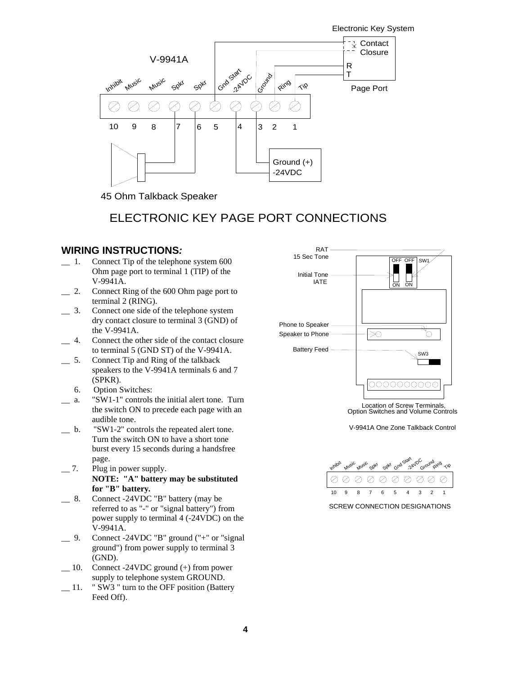Electronic Key System



45 Ohm Talkback Speaker

### ELECTRONIC KEY PAGE PORT CONNECTIONS

# **WIRING INSTRUCTIONS:**<br>  $\qquad$  1. Connect Tip of the telephon

- Connect Tip of the telephone system 600 Ohm page port to terminal 1 (TIP) of the V-9941A.
- \_\_ 2. Connect Ring of the 600 Ohm page port to terminal 2 (RING).
- \_\_ 3. Connect one side of the telephone system dry contact closure to terminal 3 (GND) of the V-9941A.
- \_\_ 4. Connect the other side of the contact closure to terminal 5 (GND ST) of the V-9941A.
- \_\_ 5. Connect Tip and Ring of the talkback speakers to the V-9941A terminals 6 and 7 (SPKR).
	- 6. Option Switches:
- a. "SW1-1" controls the initial alert tone. Turn the switch ON to precede each page with an audible tone.
- b. "SW1-2" controls the repeated alert tone. Turn the switch ON to have a short tone burst every 15 seconds during a handsfree page.
- \_\_ 7. Plug in power supply. **NOTE: "A" battery may be substituted for "B" battery***.*
- \_\_ 8. Connect -24VDC "B" battery (may be referred to as "-" or "signal battery") from power supply to terminal 4 (-24VDC) on the V-9941A.
- \_\_ 9. Connect -24VDC "B" ground ("+" or "signal ground") from power supply to terminal 3 (GND).
- \_\_ 10. Connect -24VDC ground (+) from power supply to telephone system GROUND.
- \_\_ 11. " SW3 " turn to the OFF position (Battery Feed Off).



Location of Screw Terminals, Option Switches and Volume Controls

V-9941A One Zone Talkback Control



SCREW CONNECTION DESIGNATIONS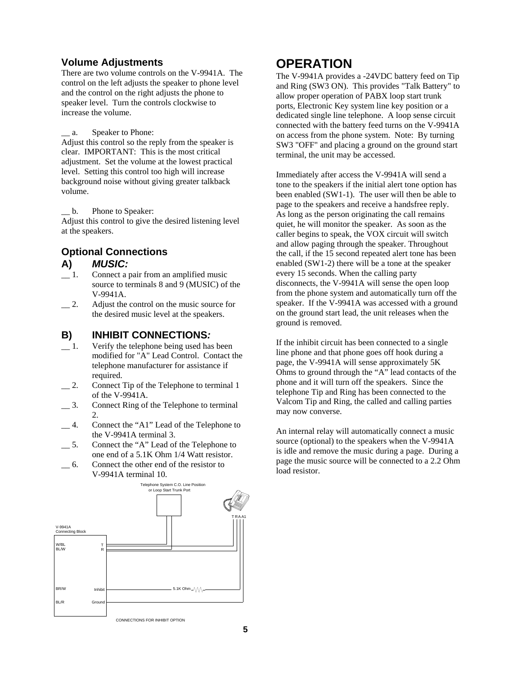#### **Volume Adjustments**

There are two volume controls on the V-9941A. The control on the left adjusts the speaker to phone level and the control on the right adjusts the phone to speaker level. Turn the controls clockwise to increase the volume.

a. Speaker to Phone:

Adjust this control so the reply from the speaker is clear. IMPORTANT: This is the most critical adjustment. Set the volume at the lowest practical level. Setting this control too high will increase background noise without giving greater talkback volume.

b. Phone to Speaker:

Adjust this control to give the desired listening level at the speakers.

# **Optional Connections A)** *MUSIC:*

- Connect a pair from an amplified music source to terminals 8 and 9 (MUSIC) of the V-9941A.
- \_\_ 2. Adjust the control on the music source for the desired music level at the speakers.

#### **B)****INHIBIT CONNECTIONS***:*

- \_\_ 1. Verify the telephone being used has been modified for "A" Lead Control. Contact the telephone manufacturer for assistance if required.
- 2. Connect Tip of the Telephone to terminal 1 of the V-9941A.
- \_\_ 3. Connect Ring of the Telephone to terminal 2.
- \_\_ 4. Connect the "A1" Lead of the Telephone to the V-9941A terminal 3.
- \_\_ 5. Connect the "A" Lead of the Telephone to one end of a 5.1K Ohm 1/4 Watt resistor.
- \_\_ 6. Connect the other end of the resistor to V-9941A terminal 10.



## **OPERATION**

The V-9941A provides a -24VDC battery feed on Tip and Ring (SW3 ON). This provides "Talk Battery" to allow proper operation of PABX loop start trunk ports, Electronic Key system line key position or a dedicated single line telephone. A loop sense circuit connected with the battery feed turns on the V-9941A on access from the phone system. Note: By turning SW3 "OFF" and placing a ground on the ground start terminal, the unit may be accessed.

Immediately after access the V-9941A will send a tone to the speakers if the initial alert tone option has been enabled (SW1-1). The user will then be able to page to the speakers and receive a handsfree reply. As long as the person originating the call remains quiet, he will monitor the speaker. As soon as the caller begins to speak, the VOX circuit will switch and allow paging through the speaker. Throughout the call, if the 15 second repeated alert tone has been enabled (SW1-2) there will be a tone at the speaker every 15 seconds. When the calling party disconnects, the V-9941A will sense the open loop from the phone system and automatically turn off the speaker. If the V-9941A was accessed with a ground on the ground start lead, the unit releases when the ground is removed.

If the inhibit circuit has been connected to a single line phone and that phone goes off hook during a page, the V-9941A will sense approximately 5K Ohms to ground through the "A" lead contacts of the phone and it will turn off the speakers. Since the telephone Tip and Ring has been connected to the Valcom Tip and Ring, the called and calling parties may now converse.

An internal relay will automatically connect a music source (optional) to the speakers when the V-9941A is idle and remove the music during a page. During a page the music source will be connected to a 2.2 Ohm load resistor.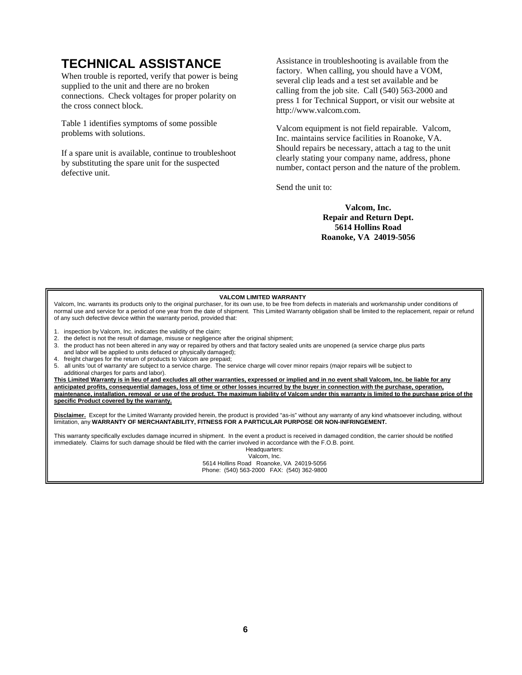# **TECHNICAL ASSISTANCE**

When trouble is reported, verify that power is being supplied to the unit and there are no broken connections. Check voltages for proper polarity on the cross connect block.

Table 1 identifies symptoms of some possible problems with solutions.

If a spare unit is available, continue to troubleshoot by substituting the spare unit for the suspected defective unit.

Assistance in troubleshooting is available from the factory. When calling, you should have a VOM, several clip leads and a test set available and be calling from the job site. Call (540) 563-2000 and press 1 for Technical Support, or visit our website at http://www.valcom.com.

Valcom equipment is not field repairable. Valcom, Inc. maintains service facilities in Roanoke, VA. Should repairs be necessary, attach a tag to the unit clearly stating your company name, address, phone number, contact person and the nature of the problem.

Send the unit to:

**Valcom, Inc. Repair and Return Dept. 5614 Hollins Road Roanoke, VA 24019-5056**

#### **VALCOM LIMITED WARRANTY**

Valcom, Inc. warrants its products only to the original purchaser, for its own use, to be free from defects in materials and workmanship under conditions of normal use and service for a period of one year from the date of shipment. This Limited Warranty obligation shall be limited to the replacement, repair or refund of any such defective device within the warranty period, provided that:

- 1. inspection by Valcom, Inc. indicates the validity of the claim;
- 2. the defect is not the result of damage, misuse or negligence after the original shipment;
- 3. the product has not been altered in any way or repaired by others and that factory sealed units are unopened (a service charge plus parts and labor will be applied to units defaced or physically damaged);
- 4. freight charges for the return of products to Valcom are prepaid;
- 5. all units 'out of warranty' are subject to a service charge. The service charge will cover minor repairs (major repairs will be subject to additional charges for parts and labor).

**This Limited Warranty is in lieu of and excludes all other warranties, expressed or implied and in no event shall Valcom, Inc. be liable for any anticipated profits, consequential damages, loss of time or other losses incurred by the buyer in connection with the purchase, operation, maintenance, installation, removal or use of the product. The maximum liability of Valcom under this warranty is limited to the purchase price of the specific Product covered by the warranty.**

**Disclaimer.** Except for the Limited Warranty provided herein, the product is provided "as-is" without any warranty of any kind whatsoever including, without limitation, any **WARRANTY OF MERCHANTABILITY, FITNESS FOR A PARTICULAR PURPOSE OR NON-INFRINGEMENT.** 

This warranty specifically excludes damage incurred in shipment. In the event a product is received in damaged condition, the carrier should be notified immediately. Claims for such damage should be filed with the carrier involved in accordance with the F.O.B. point.

> Headquarters: Valcom, Inc. 5614 Hollins Road Roanoke, VA 24019-5056 Phone: (540) 563-2000 FAX: (540) 362-9800